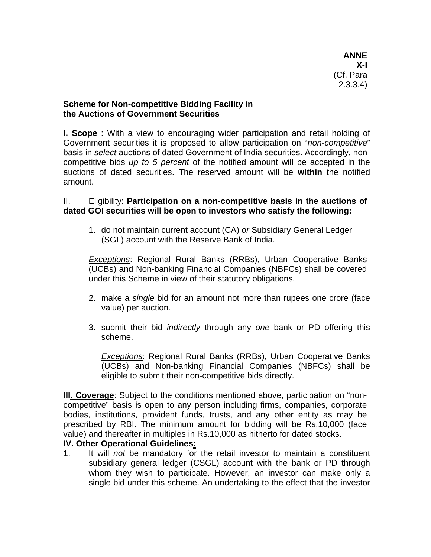**ANNE X-I**  (Cf. Para 2.3.3.4)

## **Scheme for Non-competitive Bidding Facility in the Auctions of Government Securities**

**I. Scope** : With a view to encouraging wider participation and retail holding of Government securities it is proposed to allow participation on "*non-competitive*" basis in *select* auctions of dated Government of India securities. Accordingly, noncompetitive bids *up to 5 percent* of the notified amount will be accepted in the auctions of dated securities. The reserved amount will be **within** the notified amount.

II. Eligibility: **Participation on a non-competitive basis in the auctions of dated GOI securities will be open to investors who satisfy the following:** 

1. do not maintain current account (CA) *or* Subsidiary General Ledger (SGL) account with the Reserve Bank of India.

*Exceptions*: Regional Rural Banks (RRBs), Urban Cooperative Banks (UCBs) and Non-banking Financial Companies (NBFCs) shall be covered under this Scheme in view of their statutory obligations.

- 2. make a *single* bid for an amount not more than rupees one crore (face value) per auction.
- 3. submit their bid *indirectly* through any *one* bank or PD offering this scheme.

*Exceptions*: Regional Rural Banks (RRBs), Urban Cooperative Banks (UCBs) and Non-banking Financial Companies (NBFCs) shall be eligible to submit their non-competitive bids directly.

**III. Coverage**: Subject to the conditions mentioned above, participation on "noncompetitive" basis is open to any person including firms, companies, corporate bodies, institutions, provident funds, trusts, and any other entity as may be prescribed by RBI. The minimum amount for bidding will be Rs.10,000 (face value) and thereafter in multiples in Rs.10,000 as hitherto for dated stocks.

## **IV. Other Operational Guidelines:**

1. It will *not* be mandatory for the retail investor to maintain a constituent subsidiary general ledger (CSGL) account with the bank or PD through whom they wish to participate. However, an investor can make only a single bid under this scheme. An undertaking to the effect that the investor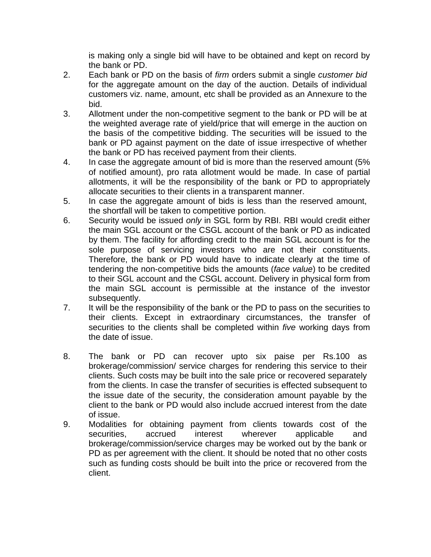is making only a single bid will have to be obtained and kept on record by the bank or PD.

- 2. Each bank or PD on the basis of *firm* orders submit a single *customer bid* for the aggregate amount on the day of the auction. Details of individual customers viz. name, amount, etc shall be provided as an Annexure to the bid.
- 3. Allotment under the non-competitive segment to the bank or PD will be at the weighted average rate of yield/price that will emerge in the auction on the basis of the competitive bidding. The securities will be issued to the bank or PD against payment on the date of issue irrespective of whether the bank or PD has received payment from their clients.
- 4. In case the aggregate amount of bid is more than the reserved amount (5% of notified amount), pro rata allotment would be made. In case of partial allotments, it will be the responsibility of the bank or PD to appropriately allocate securities to their clients in a transparent manner.
- 5.In case the aggregate amount of bids is less than the reserved amount, the shortfall will be taken to competitive portion.
- 6. Security would be issued *only* in SGL form by RBI. RBI would credit either the main SGL account or the CSGL account of the bank or PD as indicated by them. The facility for affording credit to the main SGL account is for the sole purpose of servicing investors who are not their constituents. Therefore, the bank or PD would have to indicate clearly at the time of tendering the non-competitive bids the amounts (*face value*) to be credited to their SGL account and the CSGL account. Delivery in physical form from the main SGL account is permissible at the instance of the investor subsequently.
- 7. It will be the responsibility of the bank or the PD to pass on the securities to their clients. Except in extraordinary circumstances, the transfer of securities to the clients shall be completed within *five* working days from the date of issue.
- 8. The bank or PD can recover upto six paise per Rs.100 as brokerage/commission/ service charges for rendering this service to their clients. Such costs may be built into the sale price or recovered separately from the clients. In case the transfer of securities is effected subsequent to the issue date of the security, the consideration amount payable by the client to the bank or PD would also include accrued interest from the date of issue.
- 9. Modalities for obtaining payment from clients towards cost of the securities, accrued interest wherever applicable and brokerage/commission/service charges may be worked out by the bank or PD as per agreement with the client. It should be noted that no other costs such as funding costs should be built into the price or recovered from the client.